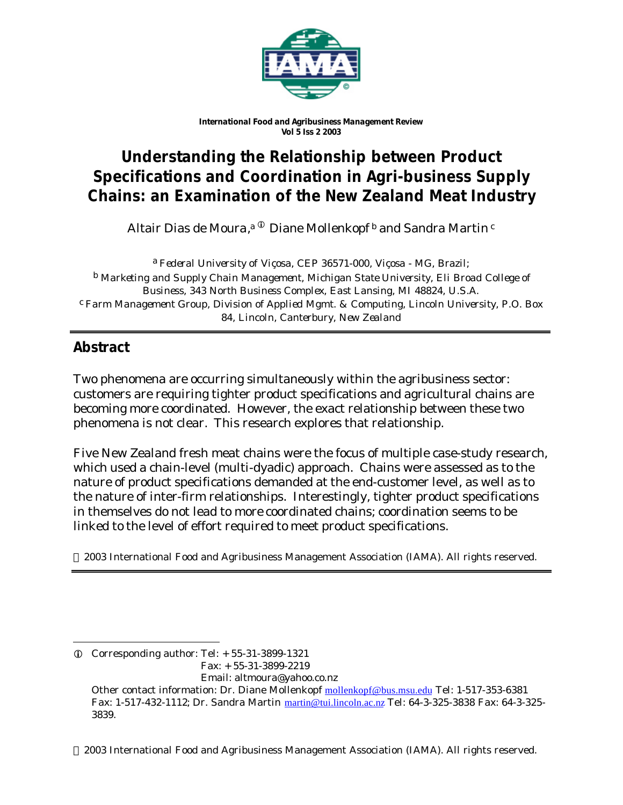

*International Food and Agribusiness Management Review Vol 5 Iss 2 2003*

# **Understanding the Relationship between Product Specifications and Coordination in Agri-business Supply Chains: an Examination of the New Zealand Meat Industry**

Altair Dias de Moura,<sup>a ©</sup> Diane Mollenkopf <sup>b</sup> and Sandra Martin <sup>c</sup>

a *Federal University of Viçosa, CEP 36571-000, Viçosa - MG, Brazil;* b *Marketing and Supply Chain Management, Michigan State University, Eli Broad College of Business, 343 North Business Complex, East Lansing, MI 48824, U.S.A.* c *Farm Management Group, Division of Applied Mgmt. & Computing, Lincoln University, P.O. Box 84, Lincoln, Canterbury, New Zealand*

# **Abstract**

l

Two phenomena are occurring simultaneously within the agribusiness sector: customers are requiring tighter product specifications and agricultural chains are becoming more coordinated. However, the exact relationship between these two phenomena is not clear. This research explores that relationship.

Five New Zealand fresh meat chains were the focus of multiple case-study research, which used a chain-level (multi-dyadic) approach. Chains were assessed as to the nature of product specifications demanded at the end-customer level, as well as to the nature of inter-firm relationships. Interestingly, tighter product specifications in themselves do not lead to more coordinated chains; coordination seems to be linked to the level of effort required to meet product specifications.

2003 International Food and Agribusiness Management Association (IAMA). All rights reserved.

2003 International Food and Agribusiness Management Association (IAMA). All rights reserved.

 $Q$  Corresponding author: Tel:  $+ 55-31-3899-1321$  Fax: + 55-31-3899-2219 Email: altmoura@yahoo.co.nz

Other contact information: Dr. Diane Mollenkopf mollenkopf@bus.msu.edu Tel: 1-517-353-6381 Fax: 1-517-432-1112; Dr. Sandra Martin martin@tui.lincoln.ac.nz Tel: 64-3-325-3838 Fax: 64-3-325- 3839.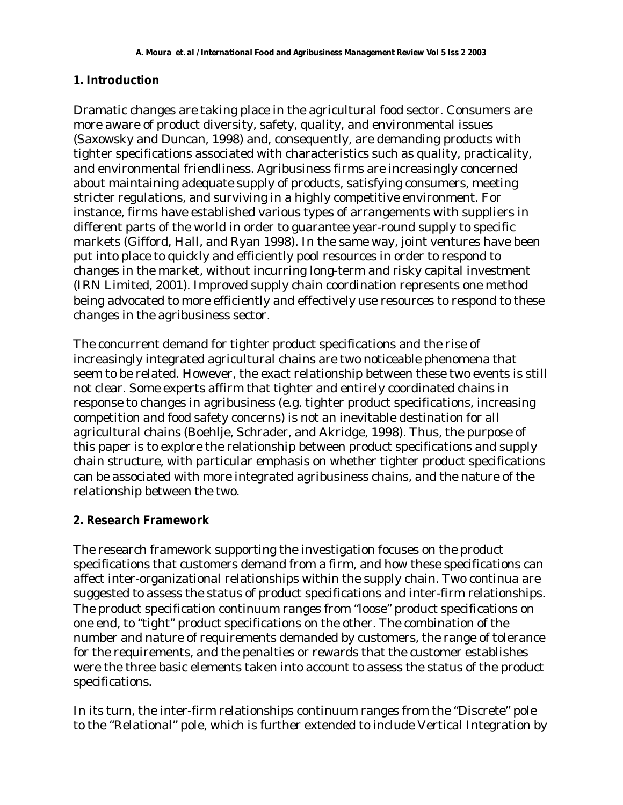#### **1. Introduction**

Dramatic changes are taking place in the agricultural food sector. Consumers are more aware of product diversity, safety, quality, and environmental issues (Saxowsky and Duncan, 1998) and, consequently, are demanding products with tighter specifications associated with characteristics such as quality, practicality, and environmental friendliness. Agribusiness firms are increasingly concerned about maintaining adequate supply of products, satisfying consumers, meeting stricter regulations, and surviving in a highly competitive environment. For instance, firms have established various types of arrangements with suppliers in different parts of the world in order to guarantee year-round supply to specific markets (Gifford, Hall, and Ryan 1998). In the same way, joint ventures have been put into place to quickly and efficiently pool resources in order to respond to changes in the market, without incurring long-term and risky capital investment (IRN Limited, 2001). Improved supply chain coordination represents one method being advocated to more efficiently and effectively use resources to respond to these changes in the agribusiness sector.

The concurrent demand for tighter product specifications and the rise of increasingly integrated agricultural chains are two noticeable phenomena that seem to be related. However, the exact relationship between these two events is still not clear. Some experts affirm that tighter and entirely coordinated chains in response to changes in agribusiness (e.g. tighter product specifications, increasing competition and food safety concerns) is not an inevitable destination for all agricultural chains (Boehlje, Schrader, and Akridge, 1998). Thus, the purpose of this paper is to explore the relationship between product specifications and supply chain structure, with particular emphasis on whether tighter product specifications can be associated with more integrated agribusiness chains, and the nature of the relationship between the two.

### **2. Research Framework**

The research framework supporting the investigation focuses on the product specifications that customers demand from a firm, and how these specifications can affect inter-organizational relationships within the supply chain. Two continua are suggested to assess the status of product specifications and inter-firm relationships. The product specification continuum ranges from "loose" product specifications on one end, to "tight" product specifications on the other. The combination of the number and nature of requirements demanded by customers, the range of tolerance for the requirements, and the penalties or rewards that the customer establishes were the three basic elements taken into account to assess the status of the product specifications.

In its turn, the inter-firm relationships continuum ranges from the "Discrete" pole to the "Relational" pole, which is further extended to include Vertical Integration by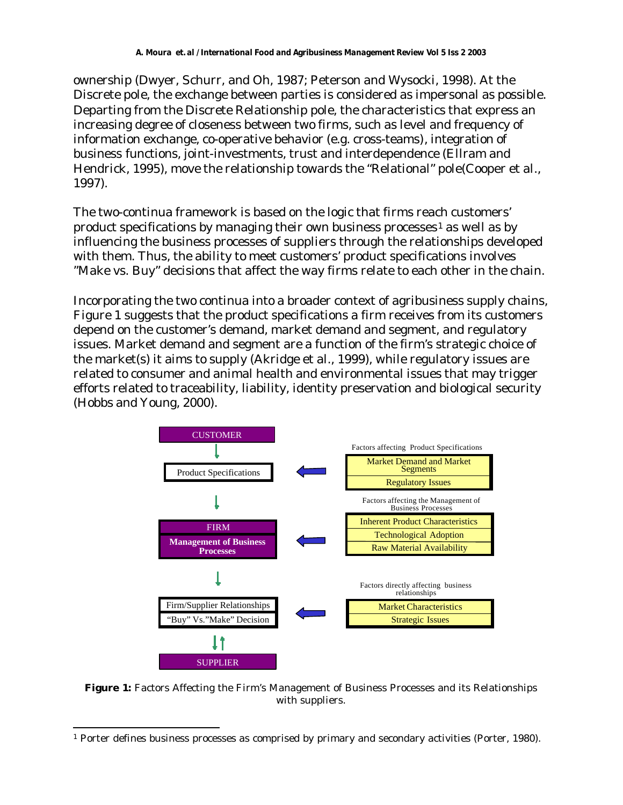ownership (Dwyer, Schurr, and Oh, 1987; Peterson and Wysocki, 1998). At the Discrete pole, the exchange between parties is considered as impersonal as possible. Departing from the Discrete Relationship pole, the characteristics that express an increasing degree of closeness between two firms, such as level and frequency of information exchange, co-operative behavior (e.g. cross-teams), integration of business functions, joint-investments, trust and interdependence (Ellram and Hendrick, 1995), move the relationship towards the "Relational" pole(Cooper et al., 1997).

The two-continua framework is based on the logic that firms reach customers' product specifications by managing their own business processes<sup>1</sup> as well as by influencing the business processes of suppliers through the relationships developed with them. Thus, the ability to meet customers' product specifications involves "Make vs. Buy" decisions that affect the way firms relate to each other in the chain.

Incorporating the two continua into a broader context of agribusiness supply chains, Figure 1 suggests that the product specifications a firm receives from its customers depend on the customer's demand, market demand and segment, and regulatory issues. Market demand and segment are a function of the firm's strategic choice of the market(s) it aims to supply (Akridge et al., 1999), while regulatory issues are related to consumer and animal health and environmental issues that may trigger efforts related to traceability, liability, identity preservation and biological security (Hobbs and Young, 2000).



**Figure 1:** Factors Affecting the Firm's Management of Business Processes and its Relationships with suppliers.

l 1 Porter defines business processes as comprised by primary and secondary activities (Porter, 1980).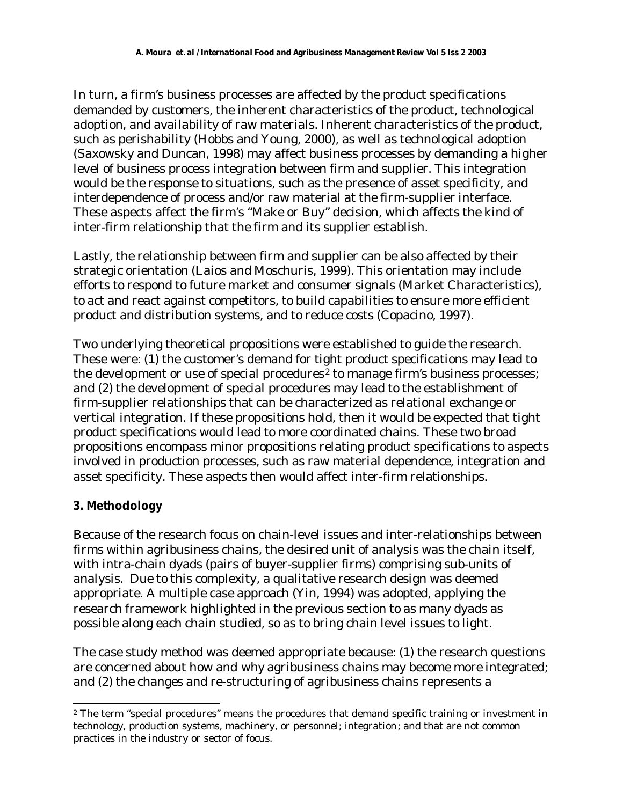In turn, a firm's business processes are affected by the product specifications demanded by customers, the inherent characteristics of the product, technological adoption, and availability of raw materials. Inherent characteristics of the product, such as perishability (Hobbs and Young, 2000), as well as technological adoption (Saxowsky and Duncan, 1998) may affect business processes by demanding a higher level of business process integration between firm and supplier. This integration would be the response to situations, such as the presence of asset specificity, and interdependence of process and/or raw material at the firm-supplier interface. These aspects affect the firm's "Make or Buy" decision, which affects the kind of inter-firm relationship that the firm and its supplier establish.

Lastly, the relationship between firm and supplier can be also affected by their strategic orientation (Laios and Moschuris, 1999). This orientation may include efforts to respond to future market and consumer signals (Market Characteristics), to act and react against competitors, to build capabilities to ensure more efficient product and distribution systems, and to reduce costs (Copacino, 1997).

Two underlying theoretical propositions were established to guide the research. These were: (1) the customer's demand for tight product specifications may lead to the development or use of special procedures<sup>2</sup> to manage firm's business processes; and (2) the development of special procedures may lead to the establishment of firm-supplier relationships that can be characterized as relational exchange or vertical integration. If these propositions hold, then it would be expected that tight product specifications would lead to more coordinated chains. These two broad propositions encompass minor propositions relating product specifications to aspects involved in production processes, such as raw material dependence, integration and asset specificity. These aspects then would affect inter-firm relationships.

### **3. Methodology**

l

Because of the research focus on chain-level issues and inter-relationships between firms within agribusiness chains, the desired unit of analysis was the chain itself, with intra-chain dyads (pairs of buyer-supplier firms) comprising sub-units of analysis. Due to this complexity, a qualitative research design was deemed appropriate. A multiple case approach (Yin, 1994) was adopted, applying the research framework highlighted in the previous section to as many dyads as possible along each chain studied, so as to bring chain level issues to light.

The case study method was deemed appropriate because: (1) the research questions are concerned about *how* and *why* agribusiness chains may become more integrated; and (2) the changes and re-structuring of agribusiness chains represents a

<sup>2</sup> The term "special procedures" means the procedures that demand specific training or investment in technology, production systems, machinery, or personnel; integration; and that are not common practices in the industry or sector of focus.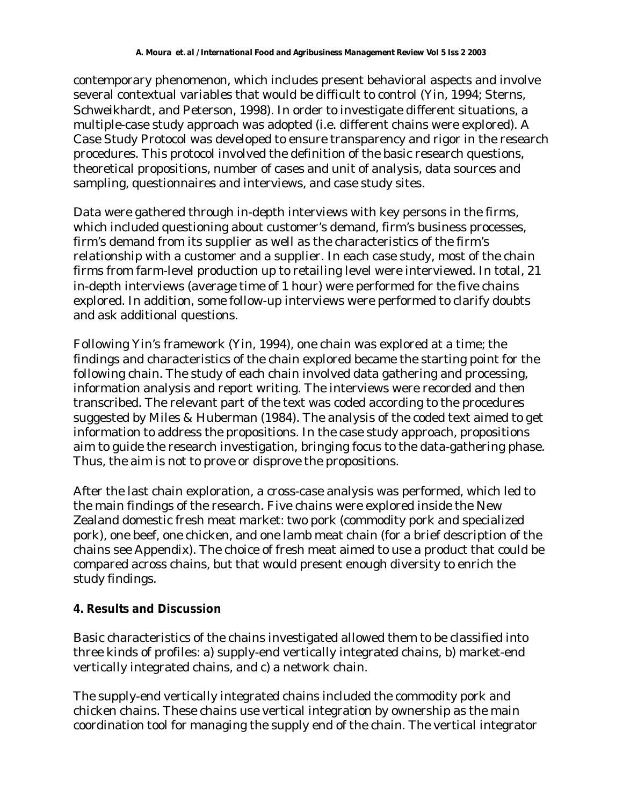contemporary phenomenon, which includes present behavioral aspects and involve several contextual variables that would be difficult to control (Yin, 1994; Sterns, Schweikhardt, and Peterson, 1998). In order to investigate different situations, a multiple-case study approach was adopted (i.e. different chains were explored). A Case Study Protocol was developed to ensure transparency and rigor in the research procedures. This protocol involved the definition of the basic research questions, theoretical propositions, number of cases and unit of analysis, data sources and sampling, questionnaires and interviews, and case study sites.

Data were gathered through in-depth interviews with key persons in the firms, which included questioning about customer's demand, firm's business processes, firm's demand from its supplier as well as the characteristics of the firm's relationship with a customer and a supplier. In each case study, most of the chain firms from farm-level production up to retailing level were interviewed. In total, 21 in-depth interviews (average time of 1 hour) were performed for the five chains explored. In addition, some follow-up interviews were performed to clarify doubts and ask additional questions.

Following Yin's framework (Yin, 1994), one chain was explored at a time; the findings and characteristics of the chain explored became the starting point for the following chain. The study of each chain involved data gathering and processing, information analysis and report writing. The interviews were recorded and then transcribed. The relevant part of the text was coded according to the procedures suggested by Miles & Huberman (1984). The analysis of the coded text aimed to get information to address the propositions. In the case study approach, propositions aim to guide the research investigation, bringing focus to the data-gathering phase. Thus, the aim is not to prove or disprove the propositions.

After the last chain exploration, a cross-case analysis was performed, which led to the main findings of the research. Five chains were explored inside the New Zealand domestic fresh meat market: two pork (commodity pork and specialized pork), one beef, one chicken, and one lamb meat chain (for a brief description of the chains see Appendix). The choice of fresh meat aimed to use a product that could be compared across chains, but that would present enough diversity to enrich the study findings.

#### **4. Results and Discussion**

Basic characteristics of the chains investigated allowed them to be classified into three kinds of profiles: a) supply-end vertically integrated chains, b) market-end vertically integrated chains, and c) a network chain.

The supply-end vertically integrated chains included the commodity pork and chicken chains. These chains use vertical integration by ownership as the main coordination tool for managing the supply end of the chain. The vertical integrator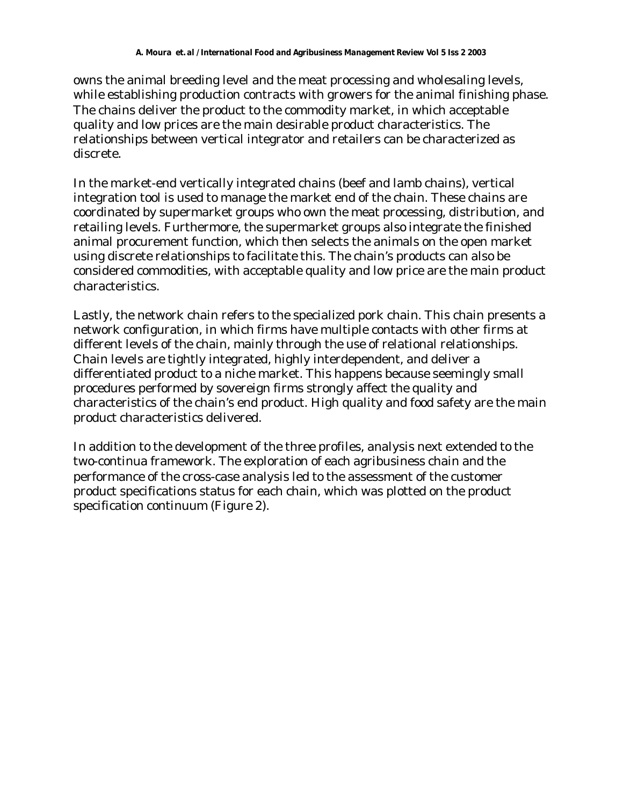owns the animal breeding level and the meat processing and wholesaling levels, while establishing production contracts with growers for the animal finishing phase. The chains deliver the product to the commodity market, in which acceptable quality and low prices are the main desirable product characteristics. The relationships between vertical integrator and retailers can be characterized as discrete.

In the market-end vertically integrated chains (beef and lamb chains), vertical integration tool is used to manage the market end of the chain. These chains are coordinated by supermarket groups who own the meat processing, distribution, and retailing levels. Furthermore, the supermarket groups also integrate the finished animal procurement function, which then selects the animals on the open market using discrete relationships to facilitate this. The chain's products can also be considered commodities, with acceptable quality and low price are the main product characteristics.

Lastly, the network chain refers to the specialized pork chain. This chain presents a network configuration, in which firms have multiple contacts with other firms at different levels of the chain, mainly through the use of relational relationships. Chain levels are tightly integrated, highly interdependent, and deliver a differentiated product to a niche market. This happens because seemingly small procedures performed by sovereign firms strongly affect the quality and characteristics of the chain's end product. High quality and food safety are the main product characteristics delivered.

In addition to the development of the three profiles, analysis next extended to the two-continua framework. The exploration of each agribusiness chain and the performance of the cross-case analysis led to the assessment of the customer product specifications status for each chain, which was plotted on the product specification continuum (Figure 2).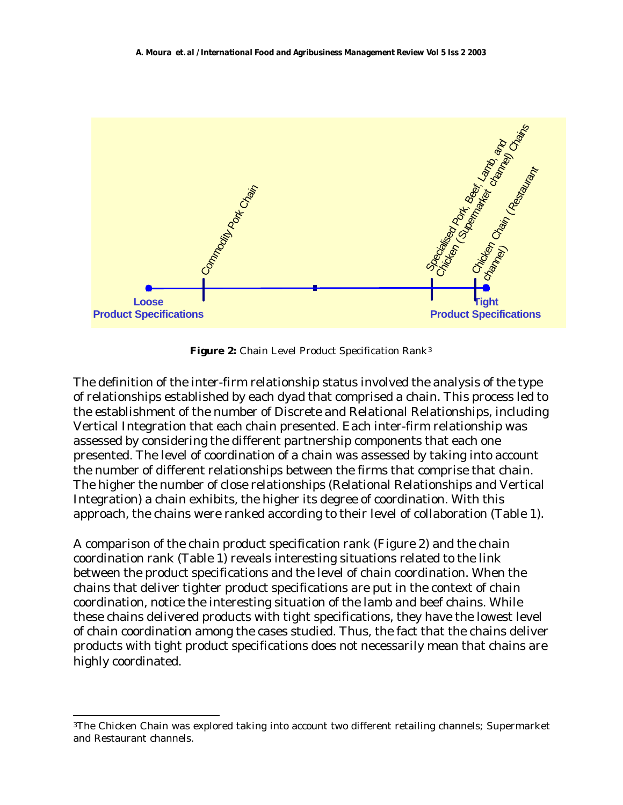

Figure 2: Chain Level Product Specification Rank<sup>3</sup>

The definition of the inter-firm relationship status involved the analysis of the type of relationships established by each dyad that comprised a chain. This process led to the establishment of the number of Discrete and Relational Relationships, including Vertical Integration that each chain presented. Each inter-firm relationship was assessed by considering the different partnership components that each one presented. The level of coordination of a chain was assessed by taking into account the number of different relationships between the firms that comprise that chain. The higher the number of close relationships (Relational Relationships and Vertical Integration) a chain exhibits, the higher its degree of coordination. With this approach, the chains were ranked according to their level of collaboration (Table 1).

A comparison of the chain product specification rank (Figure 2) and the chain coordination rank (Table 1) reveals interesting situations related to the link between the product specifications and the level of chain coordination. When the chains that deliver tighter product specifications are put in the context of chain coordination, notice the interesting situation of the lamb and beef chains. While these chains delivered products with tight specifications, they have the lowest level of chain coordination among the cases studied. Thus, the fact that the chains deliver products with tight product specifications does not necessarily mean that chains are highly coordinated.

l

<sup>3</sup>The Chicken Chain was explored taking into account two different retailing channels; Supermarket and Restaurant channels.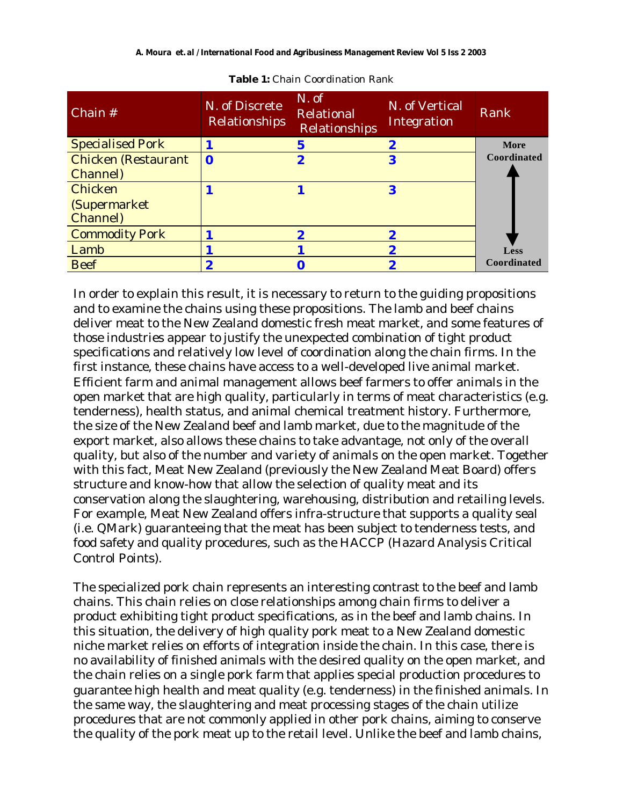| Chain #                    | N. of Discrete<br>Relationships | N. of<br>Relational<br>Relationships | N. of Vertical<br>Integration | Rank        |
|----------------------------|---------------------------------|--------------------------------------|-------------------------------|-------------|
| <b>Specialised Pork</b>    |                                 | 5                                    | 2                             | <b>More</b> |
| <b>Chicken (Restaurant</b> | $\mathbf 0$                     | 2                                    | 3                             | Coordinated |
| <b>Channel</b> )           |                                 |                                      |                               |             |
| Chicken                    |                                 |                                      | 3                             |             |
| (Supermarket               |                                 |                                      |                               |             |
| Channel)                   |                                 |                                      |                               |             |
| <b>Commodity Pork</b>      |                                 |                                      |                               |             |
| Lamb                       |                                 |                                      |                               | Less        |
| <b>Beef</b>                |                                 |                                      |                               | Coordinated |

**Table 1:** Chain Coordination Rank

In order to explain this result, it is necessary to return to the guiding propositions and to examine the chains using these propositions. The lamb and beef chains deliver meat to the New Zealand domestic fresh meat market, and some features of those industries appear to justify the unexpected combination of tight product specifications and relatively low level of coordination along the chain firms. In the first instance, these chains have access to a well-developed live animal market. Efficient farm and animal management allows beef farmers to offer animals in the open market that are high quality, particularly in terms of meat characteristics (e.g. tenderness), health status, and animal chemical treatment history. Furthermore, the size of the New Zealand beef and lamb market, due to the magnitude of the export market, also allows these chains to take advantage, not only of the overall quality, but also of the number and variety of animals on the open market. Together with this fact, Meat New Zealand (previously the New Zealand Meat Board) offers structure and know-how that allow the selection of quality meat and its conservation along the slaughtering, warehousing, distribution and retailing levels. For example, Meat New Zealand offers infra-structure that supports a quality seal (i.e. QMark) guaranteeing that the meat has been subject to tenderness tests, and food safety and quality procedures, such as the HACCP (Hazard Analysis Critical Control Points).

The specialized pork chain represents an interesting contrast to the beef and lamb chains. This chain relies on close relationships among chain firms to deliver a product exhibiting tight product specifications, as in the beef and lamb chains. In this situation, the delivery of high quality pork meat to a New Zealand domestic niche market relies on efforts of integration inside the chain. In this case, there is no availability of finished animals with the desired quality on the open market, and the chain relies on a single pork farm that applies special production procedures to guarantee high health and meat quality (e.g. tenderness) in the finished animals. In the same way, the slaughtering and meat processing stages of the chain utilize procedures that are not commonly applied in other pork chains, aiming to conserve the quality of the pork meat up to the retail level. Unlike the beef and lamb chains,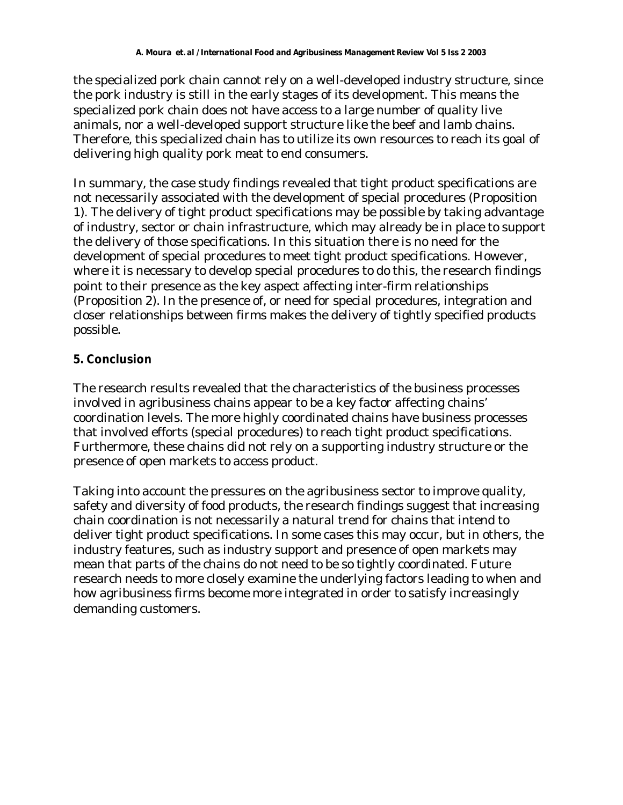the specialized pork chain cannot rely on a well-developed industry structure, since the pork industry is still in the early stages of its development. This means the specialized pork chain does not have access to a large number of quality live animals, nor a well-developed support structure like the beef and lamb chains. Therefore, this specialized chain has to utilize its own resources to reach its goal of delivering high quality pork meat to end consumers.

In summary, the case study findings revealed that tight product specifications are not necessarily associated with the development of special procedures (Proposition 1). The delivery of tight product specifications may be possible by taking advantage of industry, sector or chain infrastructure, which may already be in place to support the delivery of those specifications. In this situation there is no need for the development of special procedures to meet tight product specifications. However, where it is necessary to develop special procedures to do this, the research findings point to their presence as the key aspect affecting inter-firm relationships (Proposition 2). In the presence of, or need for special procedures, integration and closer relationships between firms makes the delivery of tightly specified products possible.

#### **5. Conclusion**

The research results revealed that the characteristics of the business processes involved in agribusiness chains appear to be a key factor affecting chains' coordination levels. The more highly coordinated chains have business processes that involved efforts (special procedures) to reach tight product specifications. Furthermore, these chains did not rely on a supporting industry structure or the presence of open markets to access product.

Taking into account the pressures on the agribusiness sector to improve quality, safety and diversity of food products, the research findings suggest that increasing chain coordination is not necessarily a natural trend for chains that intend to deliver tight product specifications. In some cases this may occur, but in others, the industry features, such as industry support and presence of open markets may mean that parts of the chains do not need to be so tightly coordinated. Future research needs to more closely examine the underlying factors leading to when and how agribusiness firms become more integrated in order to satisfy increasingly demanding customers.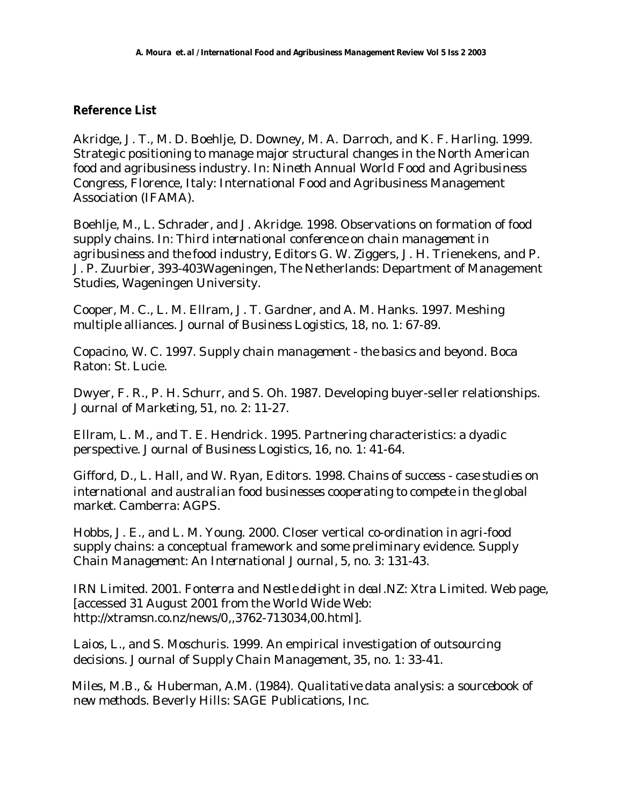#### **Reference List**

Akridge, J. T., M. D. Boehlje, D. Downey, M. A. Darroch, and K. F. Harling. 1999. Strategic positioning to manage major structural changes in the North American food and agribusiness industry. In: *Nineth Annual World Food and Agribusiness Congress,* Florence, Italy: International Food and Agribusiness Management Association (IFAMA).

Boehlje, M., L. Schrader, and J. Akridge. 1998. Observations on formation of food supply chains. In: *Third international conference on chain management in agribusiness and the food industry*, Editors G. W. Ziggers, J. H. Trienekens, and P. J. P. Zuurbier, 393-403Wageningen, The Netherlands: Department of Management Studies, Wageningen University.

Cooper, M. C., L. M. Ellram, J. T. Gardner, and A. M. Hanks. 1997. Meshing multiple alliances. *Journal of Business Logistics,* 18, no. 1: 67-89.

Copacino, W. C. 1997. *Supply chain management - the basics and beyond*. Boca Raton: St. Lucie.

Dwyer, F. R., P. H. Schurr, and S. Oh. 1987. Developing buyer-seller relationships. *Journal of Marketing,* 51, no. 2: 11-27.

Ellram, L. M., and T. E. Hendrick. 1995. Partnering characteristics: a dyadic perspective. *Journal of Business Logistics,* 16, no. 1: 41-64.

Gifford, D., L. Hall, and W. Ryan, Editors. 1998. *Chains of success - case studies on international and australian food businesses cooperating to compete in the global market*. Camberra: AGPS.

Hobbs, J. E., and L. M. Young. 2000. Closer vertical co-ordination in agri-food supply chains: a conceptual framework and some preliminary evidence. *Supply Chain Management: An International Journal,* 5, no. 3: 131-43.

IRN Limited. 2001. *Fonterra and Nestle delight in deal*.NZ: Xtra Limited. Web page, [accessed 31 August 2001 from the World Wide Web: http://xtramsn.co.nz/news/0,,3762-713034,00.html].

Laios, L., and S. Moschuris. 1999. An empirical investigation of outsourcing decisions. *Journal of Supply Chain Management,* 35, no. 1: 33-41.

 Miles, M.B., & Huberman, A.M. (1984). *Qualitative data analysis: a sourcebook of new methods*. Beverly Hills: SAGE Publications, Inc.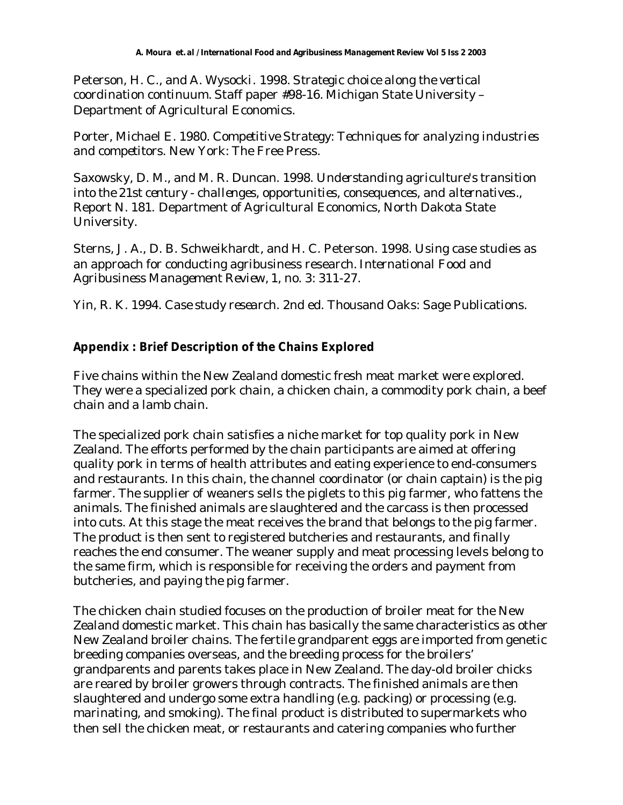Peterson, H. C., and A. Wysocki. 1998. *Strategic choice along the vertical coordination continuum*. Staff paper #98-16. Michigan State University – Department of Agricultural Economics.

Porter, Michael E. 1980. *Competitive Strategy: Techniques for analyzing industries and competitors*. New York: The Free Press.

Saxowsky, D. M., and M. R. Duncan. 1998. *Understanding agriculture's transition into the 21st century - challenges, opportunities, consequences, and alternatives.*, Report N. 181. Department of Agricultural Economics, North Dakota State University.

Sterns, J. A., D. B. Schweikhardt, and H. C. Peterson. 1998. Using case studies as an approach for conducting agribusiness research. *International Food and Agribusiness Management Review,* 1, no. 3: 311-27.

Yin, R. K. 1994. *Case study research*. 2nd ed. Thousand Oaks: Sage Publications.

## **Appendix : Brief Description of the Chains Explored**

Five chains within the New Zealand domestic fresh meat market were explored. They were a specialized pork chain, a chicken chain, a commodity pork chain, a beef chain and a lamb chain.

The specialized pork chain satisfies a niche market for top quality pork in New Zealand. The efforts performed by the chain participants are aimed at offering quality pork in terms of health attributes and eating experience to end-consumers and restaurants. In this chain, the channel coordinator (or chain captain) is the pig farmer. The supplier of weaners sells the piglets to this pig farmer, who fattens the animals. The finished animals are slaughtered and the carcass is then processed into cuts. At this stage the meat receives the brand that belongs to the pig farmer. The product is then sent to registered butcheries and restaurants, and finally reaches the end consumer. The weaner supply and meat processing levels belong to the same firm, which is responsible for receiving the orders and payment from butcheries, and paying the pig farmer.

The chicken chain studied focuses on the production of broiler meat for the New Zealand domestic market. This chain has basically the same characteristics as other New Zealand broiler chains. The fertile grandparent eggs are imported from genetic breeding companies overseas, and the breeding process for the broilers' grandparents and parents takes place in New Zealand. The day-old broiler chicks are reared by broiler growers through contracts. The finished animals are then slaughtered and undergo some extra handling (e.g. packing) or processing (e.g. marinating, and smoking). The final product is distributed to supermarkets who then sell the chicken meat, or restaurants and catering companies who further